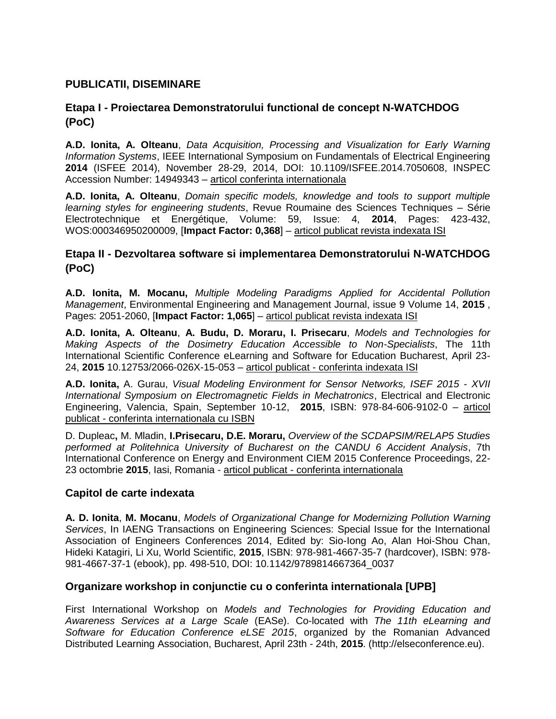# **PUBLICATII, DISEMINARE**

# **Etapa I - Proiectarea Demonstratorului functional de concept N-WATCHDOG (PoC)**

**A.D. Ionita, A. Olteanu**, *Data Acquisition, Processing and Visualization for Early Warning Information Systems*, IEEE International Symposium on Fundamentals of Electrical Engineering **2014** (ISFEE 2014), November 28-29, 2014, DOI: 10.1109/ISFEE.2014.7050608, INSPEC Accession Number: 14949343 – articol conferinta internationala

**A.D. Ionita, A. Olteanu**, *Domain specific models, knowledge and tools to support multiple learning styles for engineering students*, Revue Roumaine des Sciences Techniques – Série Electrotechnique et Energétique, Volume: 59, Issue: 4, **2014**, Pages: 423-432, WOS:000346950200009, [**Impact Factor: 0,368**] – articol publicat revista indexata ISI

# **Etapa II - Dezvoltarea software si implementarea Demonstratorului N-WATCHDOG (PoC)**

**A.D. Ionita, M. Mocanu,** *Multiple Modeling Paradigms Applied for Accidental Pollution Management*, Environmental Engineering and Management Journal, issue 9 Volume 14, **2015** , Pages: 2051-2060, [**Impact Factor: 1,065**] – articol publicat revista indexata ISI

**A.D. Ionita, A. Olteanu**, **A. Budu, D. Moraru, I. Prisecaru**, *Models and Technologies for Making Aspects of the Dosimetry Education Accessible to Non-Specialists*, The 11th International Scientific Conference eLearning and Software for Education Bucharest, April 23- 24, **2015** 10.12753/2066-026X-15-053 – articol publicat - conferinta indexata ISI

**A.D. Ionita,** A. Gurau, *Visual Modeling Environment for Sensor Networks, ISEF 2015 - XVII International Symposium on Electromagnetic Fields in Mechatronics*, Electrical and Electronic Engineering, Valencia, Spain, September 10-12, **2015**, ISBN: 978-84-606-9102-0 – articol publicat - conferinta internationala cu ISBN

D. Dupleac**,** M. Mladin, **I.Prisecaru, D.E. Moraru,** *Overview of the SCDAPSIM/RELAP5 Studies performed at Politehnica University of Bucharest on the CANDU 6 Accident Analysis*, 7th International Conference on Energy and Environment CIEM 2015 Conference Proceedings, 22- 23 octombrie **2015**, Iasi, Romania - articol publicat - conferinta internationala

### **Capitol de carte indexata**

**A. D. Ionita**, **M. Mocanu**, *Models of Organizational Change for Modernizing Pollution Warning Services*, In IAENG Transactions on Engineering Sciences: Special Issue for the International Association of Engineers Conferences 2014, Edited by: Sio-Iong Ao, Alan Hoi-Shou Chan, Hideki Katagiri, Li Xu, World Scientific, **2015**, ISBN: 978-981-4667-35-7 (hardcover), ISBN: 978- 981-4667-37-1 (ebook), pp. 498-510, DOI: 10.1142/9789814667364\_0037

### **Organizare workshop in conjunctie cu o conferinta internationala [UPB]**

First International Workshop on *Models and Technologies for Providing Education and Awareness Services at a Large Scale* (EASe). Co-located with *The 11th eLearning and Software for Education Conference eLSE 2015*, organized by the Romanian Advanced Distributed Learning Association, Bucharest, April 23th - 24th, **2015**. (http://elseconference.eu).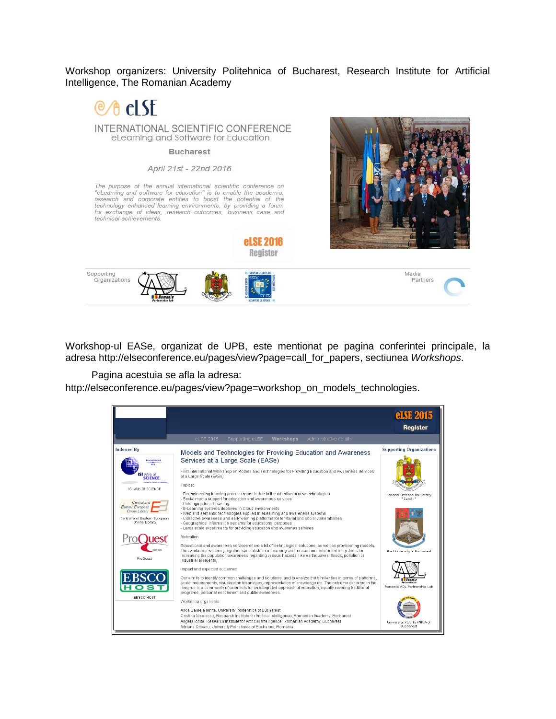Workshop organizers: University Politehnica of Bucharest, Research Institute for Artificial Intelligence, The Romanian Academy



Workshop-ul EASe, organizat de UPB, este mentionat pe pagina conferintei principale, la adresa [http://elseconference.eu/pages/view?page=call\\_for\\_papers,](http://elseconference.eu/pages/view?page=call_for_papers) sectiunea *Workshops*.

Pagina acestuia se afla la adresa:

[http://elseconference.eu/pages/view?page=workshop\\_on\\_models\\_technologies.](http://elseconference.eu/pages/view?page=workshop_on_models_technologies)

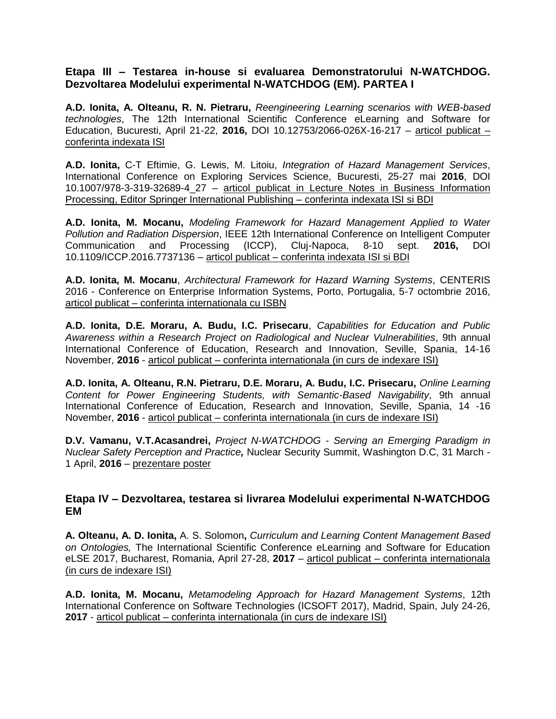#### **Etapa III – Testarea in-house si evaluarea Demonstratorului N-WATCHDOG. Dezvoltarea Modelului experimental N-WATCHDOG (EM). PARTEA I**

**A.D. Ionita, A. Olteanu, R. N. Pietraru,** *Reengineering Learning scenarios with WEB-based technologies*, The 12th International Scientific Conference eLearning and Software for Education, Bucuresti, April 21-22, **2016,** DOI 10.12753/2066-026X-16-217 – articol publicat – conferinta indexata ISI

**A.D. Ionita,** C-T Eftimie, G. Lewis, M. Litoiu, *Integration of Hazard Management Services*, International Conference on Exploring Services Science, Bucuresti, 25-27 mai **2016**, DOI 10.1007/978-3-319-32689-4\_27 – articol publicat in Lecture Notes in Business Information Processing, Editor Springer International Publishing – conferinta indexata ISI si BDI

**A.D. Ionita, M. Mocanu,** *Modeling Framework for Hazard Management Applied to Water Pollution and Radiation Dispersion*, IEEE 12th International Conference on Intelligent Computer Communication and Processing (ICCP), Cluj-Napoca, 8-10 sept. **2016,** DOI 10.1109/ICCP.2016.7737136 – articol publicat – conferinta indexata ISI si BDI

**A.D. Ionita, M. Mocanu**, *Architectural Framework for Hazard Warning Systems*, CENTERIS 2016 - Conference on Enterprise Information Systems, Porto, Portugalia, 5-7 octombrie 2016, articol publicat – conferinta internationala cu ISBN

**A.D. Ionita, D.E. Moraru, A. Budu, I.C. Prisecaru**, *Capabilities for Education and Public Awareness within a Research Project on Radiological and Nuclear Vulnerabilities*, 9th annual International Conference of Education, Research and Innovation, Seville, Spania, 14-16 November, **2016** - articol publicat – conferinta internationala (in curs de indexare ISI)

**A.D. Ionita, A. Olteanu, R.N. Pietraru, D.E. Moraru, A. Budu, I.C. Prisecaru,** *Online Learning Content for Power Engineering Students, with Semantic-Based Navigability*, 9th annual International Conference of Education, Research and Innovation, Seville, Spania, 14 -16 November, **2016** - articol publicat – conferinta internationala (in curs de indexare ISI)

**D.V. Vamanu, V.T.Acasandrei,** *Project N-WATCHDOG - Serving an Emerging Paradigm in Nuclear Safety Perception and Practice,* Nuclear Security Summit, Washington D.C, 31 March - 1 April, **2016** – prezentare poster

#### **Etapa IV – Dezvoltarea, testarea si livrarea Modelului experimental N-WATCHDOG EM**

**A. Olteanu, A. D. Ionita,** A. S. Solomon**,** *Curriculum and Learning Content Management Based on Ontologies,* The International Scientific Conference eLearning and Software for Education eLSE 2017, Bucharest, Romania, April 27-28, **2017** – articol publicat – conferinta internationala (in curs de indexare ISI)

**A.D. Ionita, M. Mocanu,** *Metamodeling Approach for Hazard Management Systems*, 12th International Conference on Software Technologies (ICSOFT 2017), Madrid, Spain, July 24-26, **2017** - articol publicat – conferinta internationala (in curs de indexare ISI)